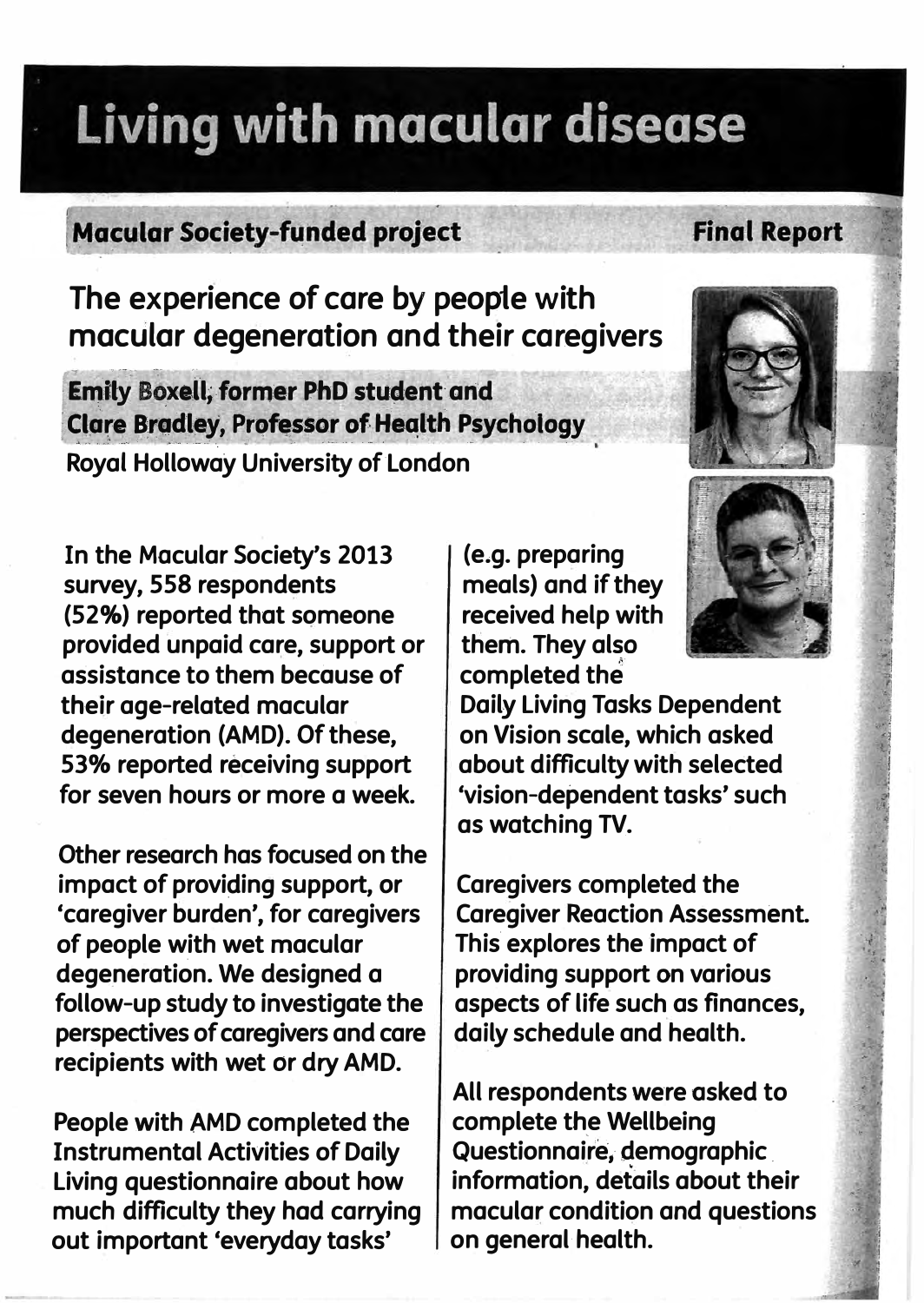# Living with macular disease

## **Macular Society-funded project**

The experience of care by people with macular degeneration and their caregivers

**Emily Boxell, former PhD student and Clare Bradley, Professor of Health Psychology Royal Holloway University of London** 

In the Macular Society's 2013 survey, 558 respondents (52%) reported that someone provided unpaid care, support or assistance to them because of their age-related macular degeneration (AMD). Of these, 53% reported receiving support for seven hours or more a week.

Other research has focused on the impact of providing support, or 'caregiver burden', for caregivers of people with wet macular degeneration. We designed a follow-up study to investigate the perspectives of caregivers and care recipients with wet or dry AMD.

People with AMD completed the **Instrumental Activities of Daily** Living questionnaire about how much difficulty they had carrying out important 'everyday tasks'

(e.g. preparing meals) and if they received help with them. They also completed the

**Daily Living Tasks Dependent** on Vision scale, which asked about difficulty with selected 'vision-dependent tasks' such as watching TV.

**Caregivers completed the Caregiver Reaction Assessment.** This explores the impact of providing support on various aspects of life such as finances, daily schedule and health.

All respondents were asked to complete the Wellbeing Questionnaire, demographic information, details about their macular condition and questions on general health.



### **Final Report**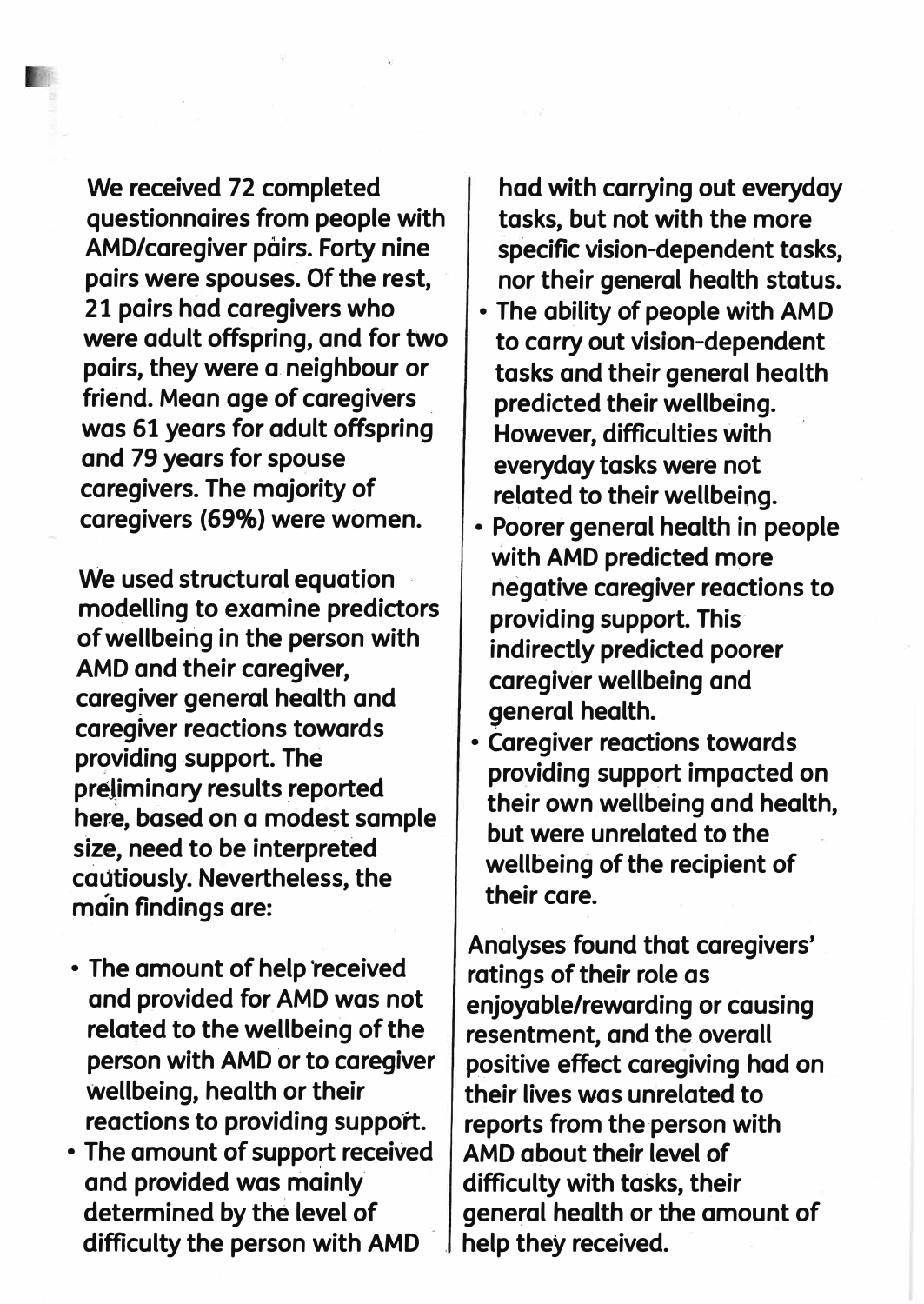**We received 72 completed questionnaires from people with AMO/caregiver pairs. Forty nine pairs were spouses. Of the rest, 21 pairs had caregivers who were adult offspring, and for two pairs, they were a neighbour or friend. Mean age of caregivers was 61 years for adult offspring and 79 years for spouse caregivers. The majority of**  caregivers (69%) were women.

**We used structural equation modelling to examine predictors of wellbeing in the person with AMD and their caregiver, caregiver general health and caregiver reactions towards providing support. The**  preliminary results reported **here, based on a modest sample**  size, need to be interpreted **cautiously. Nevertheless, the main findings are:** 

- **• The amount of help ·received and provided for AMO was not related to the wellbeing of the person with AMO or to caregiver wellbeing, health or their** reactions to providing support.
- **• The amount of support received and provided was mainly' determined by the level of difficulty the person with AMD**

**had with carrying out everyday tasks, but not with the more specific vision-dependent tasks, nor their general health status.** 

- **• The ability of people with AMD to carry out vision-dependent tasks and their general health predicted their wellbeing. However, difficulties with everyday tasks were not related to their wellbeing.**
- **• Poorer general health in people with AMD predicted more negative caregiver reactions to providing support. This· indirectly predicted poorer caregiver wellbeing and general health.**
- **• Caregiver reactions towards providing support impacted on their own wellbeing and health, but were.unrelated to the wellbeing of the recipient of their care.**

**Analyses found that caregivers' ratings of their role as enjoyable/rewarding or causing resentment, and the overall positive effect caregiving had on . their lives was unrelated to reports from the person with AMO about their level of difficulty with tasks, their general health or the amount of help they received.**